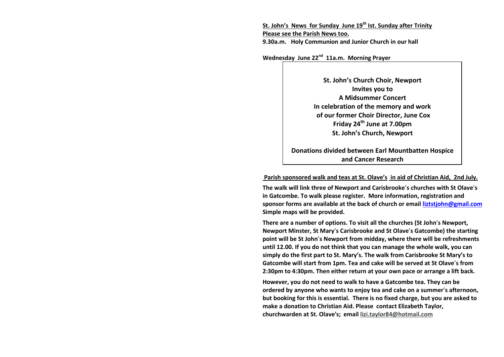**St. John's News for Sunday June 19th Ist. Sunday after Trinity Please see the Parish News too. 9.30a.m. Holy Communion and Junior Church in our hall**

**Wednesday June 22nd 11a.m. Morning Prayer**

**St. John's Church Choir, Newport Invites you to A Midsummer Concert In celebration of the memory and work of our former Choir Director, June Cox Friday 24th June at 7.00pm St. John's Church, Newport**

**Donations divided between Earl Mountbatten Hospice and Cancer Research**

#### **Parish sponsored walk and teas at St. Olave's in aid of Christian Aid, 2nd July.**

**The walk will link three of Newport and Carisbrooke**'**s churches with St Olave**'**s in Gatcombe. To walk please register. More information, registration and sponsor forms are available at the back of church or email [liztstjohn@gmail.com](mailto:liztstjohn@gmail.com) Simple maps will be provided.** 

**There are a number of options. To visit all the churches (St John**'**s Newport, Newport Minster, St Mary**'**s Carisbrooke and St Olave**'**s Gatcombe) the starting point will be St John**'**s Newport from midday, where there will be refreshments until 12.00. If you do not think that you can manage the whole walk, you can simply do the first part to St. Mary's. The walk from Carisbrooke St Mary's to Gatcombe will start from 1pm. Tea and cake will be served at St Olave**'**s from 2:30pm to 4:30pm. Then either return at your own pace or arrange a lift back.** 

**However, you do not need to walk to have a Gatcombe tea. They can be ordered by anyone who wants to enjoy tea and cake on a summer**'**s afternoon, but booking for this is essential. There is no fixed charge, but you are asked to make a donation to Christian Aid. Please contact Elizabeth Taylor, churchwarden at St. Olave's; email [lizi.taylor84@hotmail.com](mailto:lizi.taylor84@hotmail.com)**